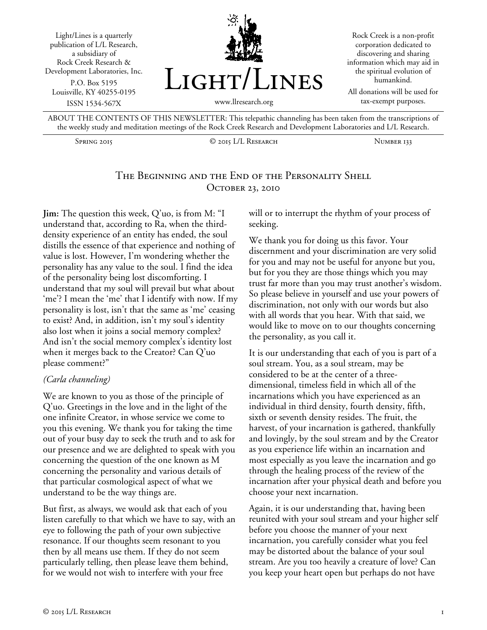

ABOUT THE CONTENTS OF THIS NEWSLETTER: This telepathic channeling has been taken from the transcriptions of the weekly study and meditation meetings of the Rock Creek Research and Development Laboratories and L/L Research.

Spring 2015 C 2015 L/L RESEARCH NUMBER 133

# The Beginning and the End of the Personality Shell OCTOBER 23, 2010

**Jim:** The question this week, Q'uo, is from M: "I understand that, according to Ra, when the thirddensity experience of an entity has ended, the soul distills the essence of that experience and nothing of value is lost. However, I'm wondering whether the personality has any value to the soul. I find the idea of the personality being lost discomforting. I understand that my soul will prevail but what about 'me'? I mean the 'me' that I identify with now. If my personality is lost, isn't that the same as 'me' ceasing to exist? And, in addition, isn't my soul's identity also lost when it joins a social memory complex? And isn't the social memory complex's identity lost when it merges back to the Creator? Can Q'uo please comment?"

#### *(Carla channeling)*

We are known to you as those of the principle of Q'uo. Greetings in the love and in the light of the one infinite Creator, in whose service we come to you this evening. We thank you for taking the time out of your busy day to seek the truth and to ask for our presence and we are delighted to speak with you concerning the question of the one known as M concerning the personality and various details of that particular cosmological aspect of what we understand to be the way things are.

But first, as always, we would ask that each of you listen carefully to that which we have to say, with an eye to following the path of your own subjective resonance. If our thoughts seem resonant to you then by all means use them. If they do not seem particularly telling, then please leave them behind, for we would not wish to interfere with your free

will or to interrupt the rhythm of your process of seeking.

We thank you for doing us this favor. Your discernment and your discrimination are very solid for you and may not be useful for anyone but you, but for you they are those things which you may trust far more than you may trust another's wisdom. So please believe in yourself and use your powers of discrimination, not only with our words but also with all words that you hear. With that said, we would like to move on to our thoughts concerning the personality, as you call it.

It is our understanding that each of you is part of a soul stream. You, as a soul stream, may be considered to be at the center of a threedimensional, timeless field in which all of the incarnations which you have experienced as an individual in third density, fourth density, fifth, sixth or seventh density resides. The fruit, the harvest, of your incarnation is gathered, thankfully and lovingly, by the soul stream and by the Creator as you experience life within an incarnation and most especially as you leave the incarnation and go through the healing process of the review of the incarnation after your physical death and before you choose your next incarnation.

Again, it is our understanding that, having been reunited with your soul stream and your higher self before you choose the manner of your next incarnation, you carefully consider what you feel may be distorted about the balance of your soul stream. Are you too heavily a creature of love? Can you keep your heart open but perhaps do not have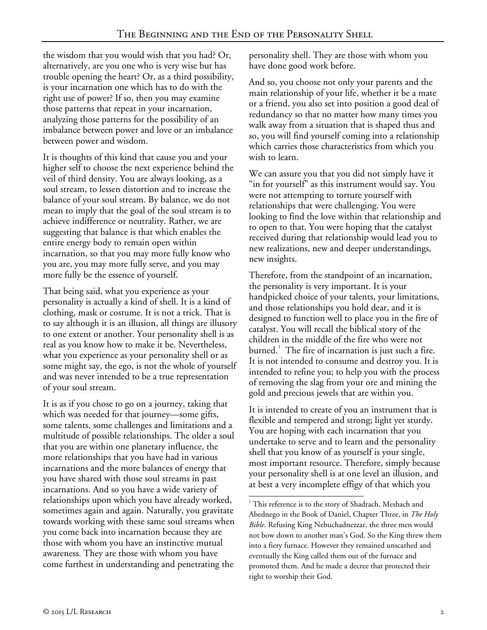the wisdom that you would wish that you had? Or, alternatively, are you one who is very wise but has trouble opening the heart? Or, as a third possibility, is your incarnation one which has to do with the right use of power? If so, then you may examine those patterns that repeat in your incarnation, analyzing those patterns for the possibility of an imbalance between power and love or an imbalance between power and wisdom.

It is thoughts of this kind that cause you and your higher self to choose the next experience behind the veil of third density. You are always looking, as a soul stream, to lessen distortion and to increase the balance of your soul stream. By balance, we do not mean to imply that the goal of the soul stream is to achieve indifference or neutrality. Rather, we are suggesting that balance is that which enables the entire energy body to remain open within incarnation, so that you may more fully know who you are, you may more fully serve, and you may more fully be the essence of yourself.

That being said, what you experience as your personality is actually a kind of shell. It is a kind of clothing, mask or costume. It is not a trick. That is to say although it is an illusion, all things are illusory to one extent or another. Your personality shell is as real as you know how to make it be. Nevertheless, what you experience as your personality shell or as some might say, the ego, is not the whole of yourself and was never intended to be a true representation of your soul stream.

<span id="page-1-0"></span>It is as if you chose to go on a journey, taking that which was needed for that journey—some gifts, some talents, some challenges and limitations and a multitude of possible relationships. The older a soul that you are within one planetary influence, the more relationships that you have had in various incarnations and the more balances of energy that you have shared with those soul streams in past incarnations. And so you have a wide variety of relationships upon which you have already worked, sometimes again and again. Naturally, you gravitate towards working with these same soul streams when you come back into incarnation because they are those with whom you have an instinctive mutual awareness. They are those with whom you have come furthest in understanding and penetrating the

personality shell. They are those with whom you have done good work before.

And so, you choose not only your parents and the main relationship of your life, whether it be a mate or a friend, you also set into position a good deal of redundancy so that no matter how many times you walk away from a situation that is shaped thus and so, you will find yourself coming into a relationship which carries those characteristics from which you wish to learn.

We can assure you that you did not simply have it "in for yourself" as this instrument would say. You were not attempting to torture yourself with relationships that were challenging. You were looking to find the love within that relationship and to open to that. You were hoping that the catalyst received during that relationship would lead you to new realizations, new and deeper understandings, new insights.

Therefore, from the standpoint of an incarnation, the personality is very important. It is your handpicked choice of your talents, your limitations, and those relationships you hold dear, and it is designed to function well to place you in the fire of catalyst. You will recall the biblical story of the children in the middle of the fire who were not burned. $^1$  $^1$  The fire of incarnation is just such a fire. It is not intended to consume and destroy you. It is intended to refine you; to help you with the process of removing the slag from your ore and mining the gold and precious jewels that are within you.

It is intended to create of you an instrument that is flexible and tempered and strong; light yet sturdy. You are hoping with each incarnation that you undertake to serve and to learn and the personality shell that you know of as yourself is your single, most important resource. Therefore, simply because your personality shell is at one level an illusion, and at best a very incomplete effigy of that which you

<sup>&</sup>lt;sup>1</sup> This reference is to the story of Shadrach, Meshach and Abednego in the Book of Daniel, Chapter Three, in *The Holy Bible*. Refusing King Nebuchadnezzar, the three men would not bow down to another man's God. So the King threw them into a fiery furnace. However they remained unscathed and eventually the King called them out of the furnace and promoted them. And he made a decree that protected their right to worship their God. -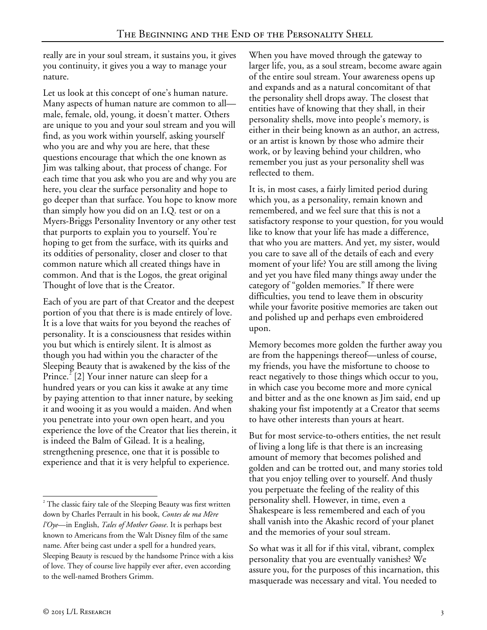really are in your soul stream, it sustains you, it gives you continuity, it gives you a way to manage your nature.

Let us look at this concept of one's human nature. Many aspects of human nature are common to all male, female, old, young, it doesn't matter. Others are unique to you and your soul stream and you will find, as you work within yourself, asking yourself who you are and why you are here, that these questions encourage that which the one known as Jim was talking about, that process of change. For each time that you ask who you are and why you are here, you clear the surface personality and hope to go deeper than that surface. You hope to know more than simply how you did on an I.Q. test or on a Myers-Briggs Personality Inventory or any other test that purports to explain you to yourself. You're hoping to get from the surface, with its quirks and its oddities of personality, closer and closer to that common nature which all created things have in common. And that is the Logos, the great original Thought of love that is the Creator.

Each of you are part of that Creator and the deepest portion of you that there is is made entirely of love. It is a love that waits for you beyond the reaches of personality. It is a consciousness that resides within you but which is entirely silent. It is almost as though you had within you the character of the Sleeping Beauty that is awakened by the kiss of the Prince.<sup> $2$ </sup> [2] Your inner nature can sleep for a hundred years or you can kiss it awake at any time by paying attention to that inner nature, by seeking it and wooing it as you would a maiden. And when you penetrate into your own open heart, and you experience the love of the Creator that lies therein, it is indeed the Balm of Gilead. It is a healing, strengthening presence, one that it is possible to experience and that it is very helpful to experience.

When you have moved through the gateway to larger life, you, as a soul stream, become aware again of the entire soul stream. Your awareness opens up and expands and as a natural concomitant of that the personality shell drops away. The closest that entities have of knowing that they shall, in their personality shells, move into people's memory, is either in their being known as an author, an actress, or an artist is known by those who admire their work, or by leaving behind your children, who remember you just as your personality shell was reflected to them.

It is, in most cases, a fairly limited period during which you, as a personality, remain known and remembered, and we feel sure that this is not a satisfactory response to your question, for you would like to know that your life has made a difference, that who you are matters. And yet, my sister, would you care to save all of the details of each and every moment of your life? You are still among the living and yet you have filed many things away under the category of "golden memories." If there were difficulties, you tend to leave them in obscurity while your favorite positive memories are taken out and polished up and perhaps even embroidered upon.

Memory becomes more golden the further away you are from the happenings thereof—unless of course, my friends, you have the misfortune to choose to react negatively to those things which occur to you, in which case you become more and more cynical and bitter and as the one known as Jim said, end up shaking your fist impotently at a Creator that seems to have other interests than yours at heart.

But for most service-to-others entities, the net result of living a long life is that there is an increasing amount of memory that becomes polished and golden and can be trotted out, and many stories told that you enjoy telling over to yourself. And thusly you perpetuate the feeling of the reality of this personality shell. However, in time, even a Shakespeare is less remembered and each of you shall vanish into the Akashic record of your planet and the memories of your soul stream.

So what was it all for if this vital, vibrant, complex personality that you are eventually vanishes? We assure you, for the purposes of this incarnation, this masquerade was necessary and vital. You needed to

<span id="page-2-0"></span> $2^2$  The classic fairy tale of the Sleeping Beauty was first written down by Charles Perrault in his book, *Contes de ma Mère l'Oye*—in English, *Tales of Mother Goose*. It is perhaps best known to Americans from the Walt Disney film of the same name. After being cast under a spell for a hundred years, Sleeping Beauty is rescued by the handsome Prince with a kiss of love. They of course live happily ever after, even according to the well-named Brothers Grimm. -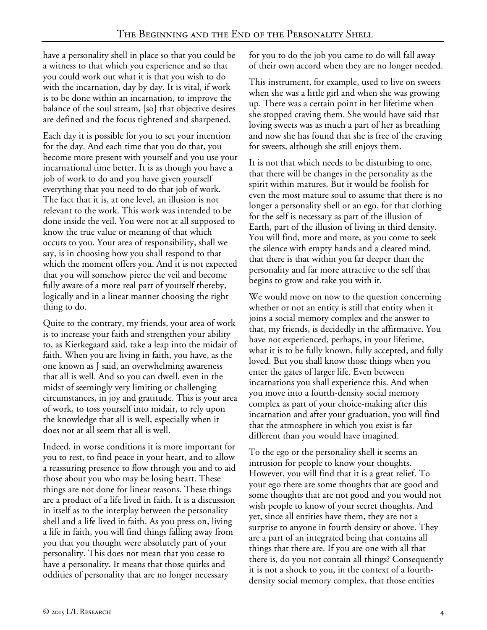have a personality shell in place so that you could be a witness to that which you experience and so that you could work out what it is that you wish to do with the incarnation, day by day. It is vital, if work is to be done within an incarnation, to improve the balance of the soul stream, [so] that objective desires are defined and the focus tightened and sharpened.

Each day it is possible for you to set your intention for the day. And each time that you do that, you become more present with yourself and you use your incarnational time better. It is as though you have a job of work to do and you have given yourself everything that you need to do that job of work. The fact that it is, at one level, an illusion is not relevant to the work. This work was intended to be done inside the veil. You were not at all supposed to know the true value or meaning of that which occurs to you. Your area of responsibility, shall we say, is in choosing how you shall respond to that which the moment offers you. And it is not expected that you will somehow pierce the veil and become fully aware of a more real part of yourself thereby, logically and in a linear manner choosing the right thing to do.

Quite to the contrary, my friends, your area of work is to increase your faith and strengthen your ability to, as Kierkegaard said, take a leap into the midair of faith. When you are living in faith, you have, as the one known as J said, an overwhelming awareness that all is well. And so you can dwell, even in the midst of seemingly very limiting or challenging circumstances, in joy and gratitude. This is your area of work, to toss yourself into midair, to rely upon the knowledge that all is well, especially when it does not at all seem that all is well.

Indeed, in worse conditions it is more important for you to rest, to find peace in your heart, and to allow a reassuring presence to flow through you and to aid those about you who may be losing heart. These things are not done for linear reasons. These things are a product of a life lived in faith. It is a discussion in itself as to the interplay between the personality shell and a life lived in faith. As you press on, living a life in faith, you will find things falling away from you that you thought were absolutely part of your personality. This does not mean that you cease to have a personality. It means that those quirks and oddities of personality that are no longer necessary

for you to do the job you came to do will fall away of their own accord when they are no longer needed.

This instrument, for example, used to live on sweets when she was a little girl and when she was growing up. There was a certain point in her lifetime when she stopped craving them. She would have said that loving sweets was as much a part of her as breathing and now she has found that she is free of the craving for sweets, although she still enjoys them.

It is not that which needs to be disturbing to one, that there will be changes in the personality as the spirit within matures. But it would be foolish for even the most mature soul to assume that there is no longer a personality shell or an ego, for that clothing for the self is necessary as part of the illusion of Earth, part of the illusion of living in third density. You will find, more and more, as you come to seek the silence with empty hands and a cleared mind, that there is that within you far deeper than the personality and far more attractive to the self that begins to grow and take you with it.

We would move on now to the question concerning whether or not an entity is still that entity when it joins a social memory complex and the answer to that, my friends, is decidedly in the affirmative. You have not experienced, perhaps, in your lifetime, what it is to be fully known, fully accepted, and fully loved. But you shall know those things when you enter the gates of larger life. Even between incarnations you shall experience this. And when you move into a fourth-density social memory complex as part of your choice-making after this incarnation and after your graduation, you will find that the atmosphere in which you exist is far different than you would have imagined.

To the ego or the personality shell it seems an intrusion for people to know your thoughts. However, you will find that it is a great relief. To your ego there are some thoughts that are good and some thoughts that are not good and you would not wish people to know of your secret thoughts. And yet, since all entities have them, they are not a surprise to anyone in fourth density or above. They are a part of an integrated being that contains all things that there are. If you are one with all that there is, do you not contain all things? Consequently it is not a shock to you, in the context of a fourthdensity social memory complex, that those entities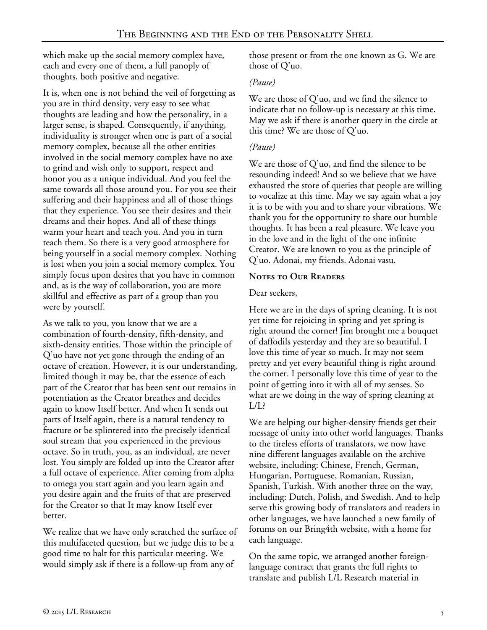which make up the social memory complex have, each and every one of them, a full panoply of thoughts, both positive and negative.

It is, when one is not behind the veil of forgetting as you are in third density, very easy to see what thoughts are leading and how the personality, in a larger sense, is shaped. Consequently, if anything, individuality is stronger when one is part of a social memory complex, because all the other entities involved in the social memory complex have no axe to grind and wish only to support, respect and honor you as a unique individual. And you feel the same towards all those around you. For you see their suffering and their happiness and all of those things that they experience. You see their desires and their dreams and their hopes. And all of these things warm your heart and teach you. And you in turn teach them. So there is a very good atmosphere for being yourself in a social memory complex. Nothing is lost when you join a social memory complex. You simply focus upon desires that you have in common and, as is the way of collaboration, you are more skillful and effective as part of a group than you were by yourself.

As we talk to you, you know that we are a combination of fourth-density, fifth-density, and sixth-density entities. Those within the principle of Q'uo have not yet gone through the ending of an octave of creation. However, it is our understanding, limited though it may be, that the essence of each part of the Creator that has been sent out remains in potentiation as the Creator breathes and decides again to know Itself better. And when It sends out parts of Itself again, there is a natural tendency to fracture or be splintered into the precisely identical soul stream that you experienced in the previous octave. So in truth, you, as an individual, are never lost. You simply are folded up into the Creator after a full octave of experience. After coming from alpha to omega you start again and you learn again and you desire again and the fruits of that are preserved for the Creator so that It may know Itself ever better.

We realize that we have only scratched the surface of this multifaceted question, but we judge this to be a good time to halt for this particular meeting. We would simply ask if there is a follow-up from any of

those present or from the one known as G. We are those of Q'uo.

### *(Pause)*

We are those of Q'uo, and we find the silence to indicate that no follow-up is necessary at this time. May we ask if there is another query in the circle at this time? We are those of Q'uo.

## *(Pause)*

We are those of Q'uo, and find the silence to be resounding indeed! And so we believe that we have exhausted the store of queries that people are willing to vocalize at this time. May we say again what a joy it is to be with you and to share your vibrations. We thank you for the opportunity to share our humble thoughts. It has been a real pleasure. We leave you in the love and in the light of the one infinite Creator. We are known to you as the principle of Q'uo. Adonai, my friends. Adonai vasu.

## **Notes to Our Readers**

#### Dear seekers,

Here we are in the days of spring cleaning. It is not yet time for rejoicing in spring and yet spring is right around the corner! Jim brought me a bouquet of daffodils yesterday and they are so beautiful. I love this time of year so much. It may not seem pretty and yet every beautiful thing is right around the corner. I personally love this time of year to the point of getting into it with all of my senses. So what are we doing in the way of spring cleaning at  $L/L$ ?

We are helping our higher-density friends get their message of unity into other world languages. Thanks to the tireless efforts of translators, we now have nine different languages available on the archive website, including: Chinese, French, German, Hungarian, Portuguese, Romanian, Russian, Spanish, Turkish. With another three on the way, including: Dutch, Polish, and Swedish. And to help serve this growing body of translators and readers in other languages, we have launched a new family of forums on our Bring4th website, with a home for each language.

On the same topic, we arranged another foreignlanguage contract that grants the full rights to translate and publish L/L Research material in